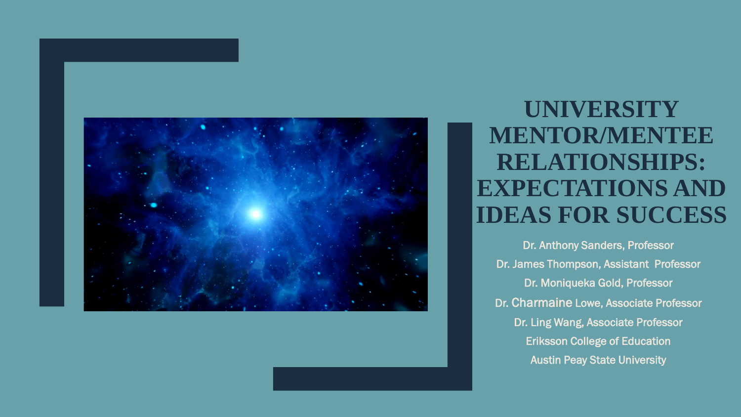

**UNIVERSITY MENTOR/MENTEE RELATIONSHIPS: EXPECTATIONS AND IDEAS FOR SUCCESS**

Dr. Anthony Sanders, Professor Dr. James Thompson, Assistant Professor Dr. Moniqueka Gold, Professor Dr. Charmaine Lowe, Associate Professor Dr. Ling Wang, Associate Professor Eriksson College of Education Austin Peay State University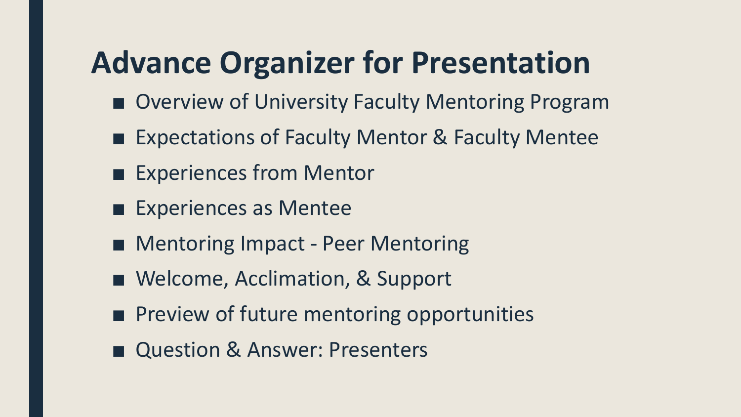# **Advance Organizer for Presentation**

- Overview of University Faculty Mentoring Program
- Expectations of Faculty Mentor & Faculty Mentee
- Experiences from Mentor
- Experiences as Mentee
- Mentoring Impact Peer Mentoring
- Welcome, Acclimation, & Support
- Preview of future mentoring opportunities
- Question & Answer: Presenters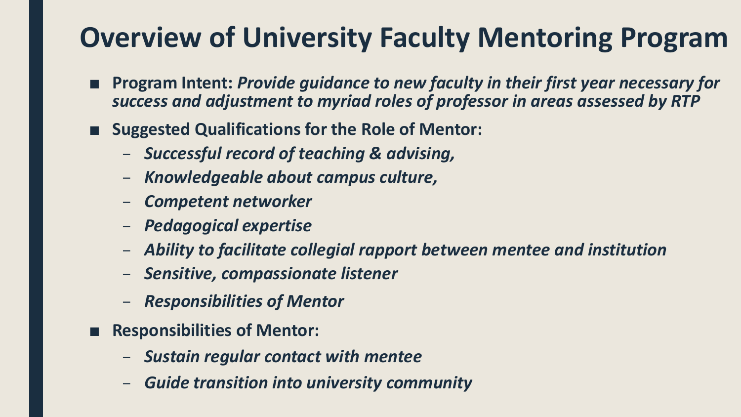- **Program Intent: Provide guidance to new faculty in their first year necessary for** *success and adjustment to myriad roles of professor in areas assessed by RTP*
- Suggested Qualifications for the Role of Mentor:
	- *Successful record of teaching & advising,*
	- *Knowledgeable about campus culture,*
	- *Competent networker*
	- *Pedagogical expertise*
	- *Ability to facilitate collegial rapport between mentee and institution*
	- *Sensitive, compassionate listener*
	- *Responsibilities of Mentor*
- **Responsibilities of Mentor:** 
	- *Sustain regular contact with mentee*
	- *Guide transition into university community*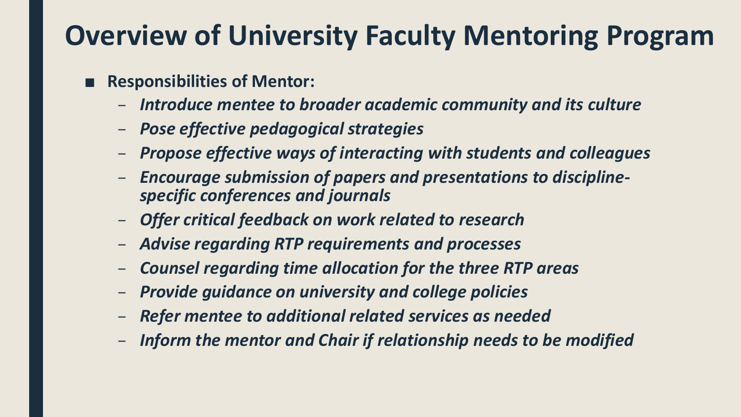- **Responsibilities of Mentor:** 
	- *Introduce mentee to broader academic community and its culture*
	- *Pose effective pedagogical strategies*
	- *Propose effective ways of interacting with students and colleagues*
	- *Encourage submission of papers and presentations to disciplinespecific conferences and journals*
	- *Offer critical feedback on work related to research*
	- *Advise regarding RTP requirements and processes*
	- *Counsel regarding time allocation for the three RTP areas*
	- *Provide guidance on university and college policies*
	- *Refer mentee to additional related services as needed*
	- *Inform the mentor and Chair if relationship needs to be modified*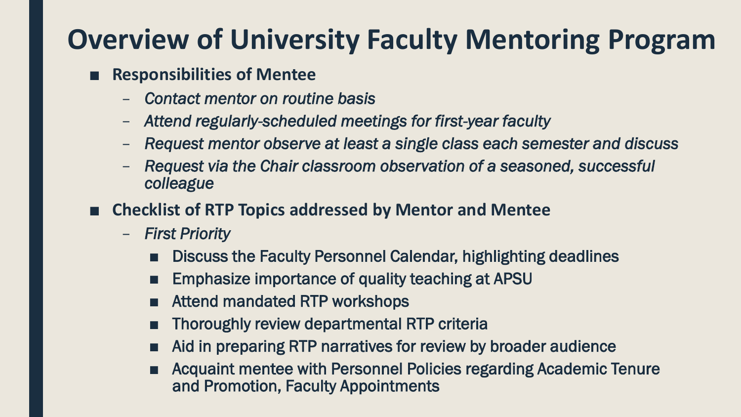#### ■ **Responsibilities of Mentee**

- *Contact mentor on routine basis*
- *Attend regularly-scheduled meetings for first-year faculty*
- *Request mentor observe at least a single class each semester and discuss*
- *Request via the Chair classroom observation of a seasoned, successful colleague*
- **Checklist of RTP Topics addressed by Mentor and Mentee** 
	- *First Priority*
		- Discuss the Faculty Personnel Calendar, highlighting deadlines
		- Emphasize importance of quality teaching at APSU
		- Attend mandated RTP workshops
		- Thoroughly review departmental RTP criteria
		- Aid in preparing RTP narratives for review by broader audience
		- Acquaint mentee with Personnel Policies regarding Academic Tenure and Promotion, Faculty Appointments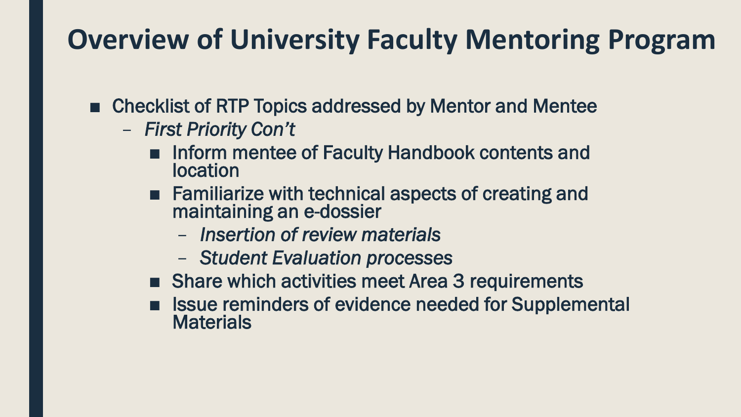- Checklist of RTP Topics addressed by Mentor and Mentee
	- *First Priority Con't*
		- Inform mentee of Faculty Handbook contents and location
		- Familiarize with technical aspects of creating and maintaining an e-dossier
			- *Insertion of review materials*
			- *Student Evaluation processes*
		- Share which activities meet Area 3 requirements
		- Issue reminders of evidence needed for Supplemental **Materials**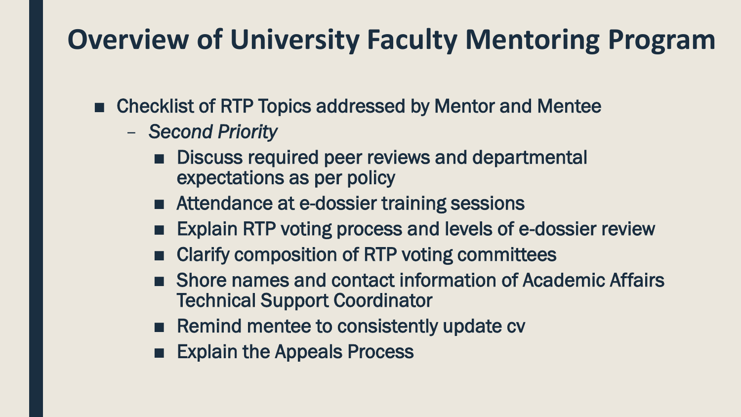- Checklist of RTP Topics addressed by Mentor and Mentee
	- *Second Priority*
		- Discuss required peer reviews and departmental expectations as per policy
		- Attendance at e-dossier training sessions
		- Explain RTP voting process and levels of e-dossier review
		- Clarify composition of RTP voting committees
		- Shore names and contact information of Academic Affairs Technical Support Coordinator
		- Remind mentee to consistently update cv
		- Explain the Appeals Process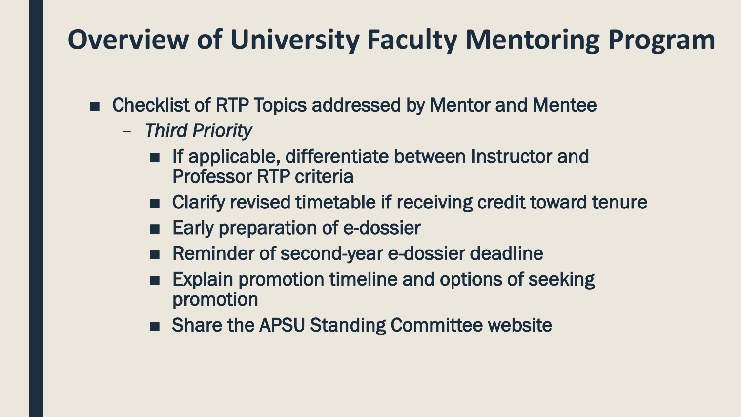- Checklist of RTP Topics addressed by Mentor and Mentee
	- *Third Priority*
		- If applicable, differentiate between Instructor and Professor RTP criteria
		- Clarify revised timetable if receiving credit toward tenure
		- Early preparation of e-dossier
		- Reminder of second-year e-dossier deadline
		- Explain promotion timeline and options of seeking promotion
		- Share the APSU Standing Committee website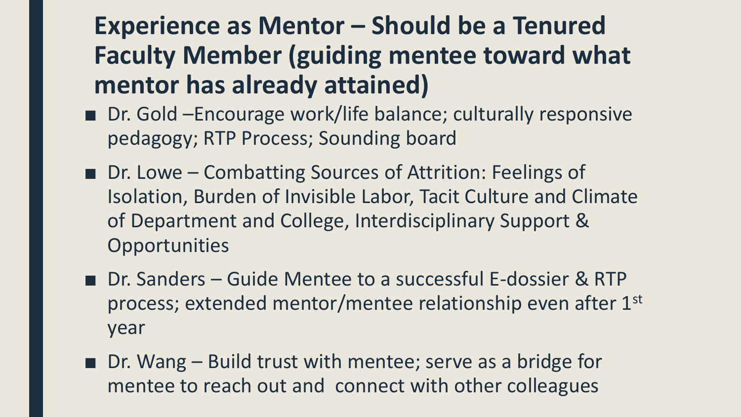#### **Experience as Mentor – Should be a Tenured Faculty Member (guiding mentee toward what mentor has already attained)**

- Dr. Gold –Encourage work/life balance; culturally responsive pedagogy; RTP Process; Sounding board
- Dr. Lowe Combatting Sources of Attrition: Feelings of Isolation, Burden of Invisible Labor, Tacit Culture and Climate of Department and College, Interdisciplinary Support & **Opportunities**
- Dr. Sanders Guide Mentee to a successful E-dossier & RTP process; extended mentor/mentee relationship even after 1st year
- Dr. Wang Build trust with mentee; serve as a bridge for mentee to reach out and connect with other colleagues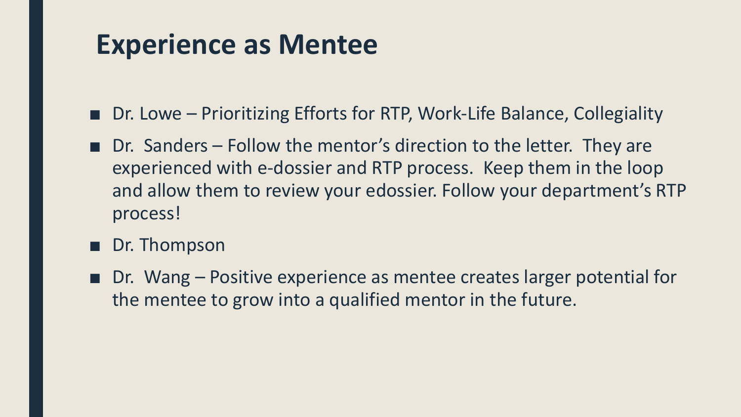#### **Experience as Mentee**

- Dr. Lowe Prioritizing Efforts for RTP, Work-Life Balance, Collegiality
- Dr. Sanders Follow the mentor's direction to the letter. They are experienced with e-dossier and RTP process. Keep them in the loop and allow them to review your edossier. Follow your department's RTP process!
- Dr. Thompson
- Dr. Wang Positive experience as mentee creates larger potential for the mentee to grow into a qualified mentor in the future.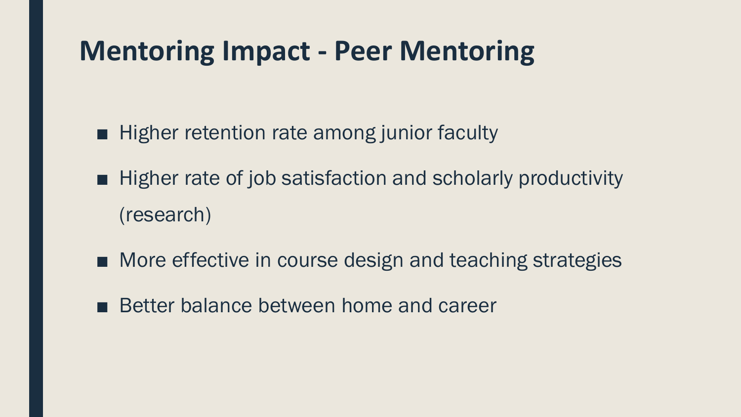## **Mentoring Impact - Peer Mentoring**

- Higher retention rate among junior faculty
- Higher rate of job satisfaction and scholarly productivity (research)
- More effective in course design and teaching strategies
- Better balance between home and career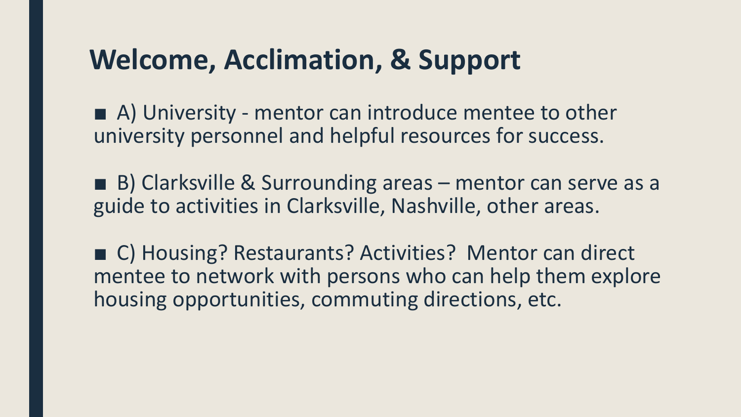### **Welcome, Acclimation, & Support**

■ A) University - mentor can introduce mentee to other university personnel and helpful resources for success.

■ B) Clarksville & Surrounding areas – mentor can serve as a guide to activities in Clarksville, Nashville, other areas.

■ C) Housing? Restaurants? Activities? Mentor can direct mentee to network with persons who can help them explore housing opportunities, commuting directions, etc.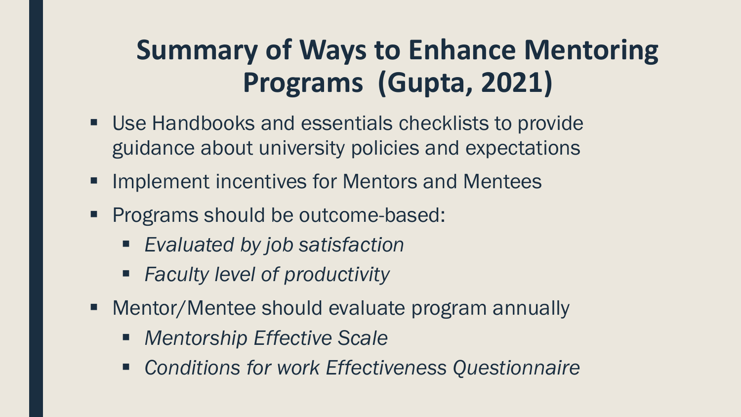## **Summary of Ways to Enhance Mentoring Programs (Gupta, 2021)**

- Use Handbooks and essentials checklists to provide guidance about university policies and expectations
- **Implement incentives for Mentors and Mentees**
- **Programs should be outcome-based:** 
	- *Evaluated by job satisfaction*
	- *Faculty level of productivity*
- Mentor/Mentee should evaluate program annually
	- *Mentorship Effective Scale*
	- *Conditions for work Effectiveness Questionnaire*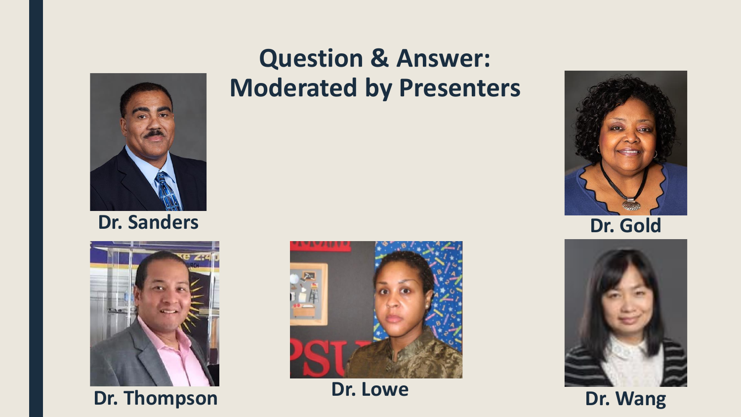

**Dr. Sanders**



**Dr. Thompson Dr. Lowe Dr. Wang** 

#### **Question & Answer: Moderated by Presenters**





**Dr. Gold**